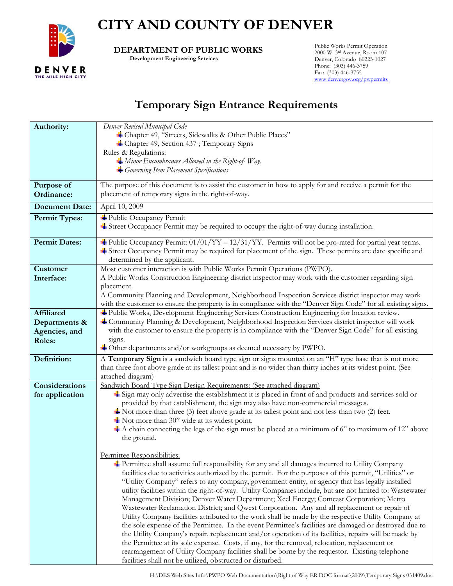

## **CITY AND COUNTY OF DENVER**

 **DEPARTMENT OF PUBLIC WORKS** 

 **Development Engineering Services** 

Public Works Permit Operation 2000 W. 3rd Avenue, Room 107 Denver, Colorado 80223-1027 Phone: (303) 446-3759 Fax: (303) 446-3755 [www.denvergov.org/pwpermits](http://www.denvergov.org/pwpermits)

## **Temporary Sign Entrance Requirements**

| Denver Revised Municipal Code<br>Authority:                                                                                                                                                                   |  |
|---------------------------------------------------------------------------------------------------------------------------------------------------------------------------------------------------------------|--|
| + Chapter 49, "Streets, Sidewalks & Other Public Places"                                                                                                                                                      |  |
| + Chapter 49, Section 437; Temporary Signs                                                                                                                                                                    |  |
| Rules & Regulations:                                                                                                                                                                                          |  |
| $\triangleq$ Minor Encumbrances Allowed in the Right-of-Way.                                                                                                                                                  |  |
| Governing Item Placement Specifications                                                                                                                                                                       |  |
|                                                                                                                                                                                                               |  |
| The purpose of this document is to assist the customer in how to apply for and receive a permit for the<br>Purpose of                                                                                         |  |
| placement of temporary signs in the right-of-way.<br>Ordinance:                                                                                                                                               |  |
| <b>Document Date:</b><br>April 10, 2009                                                                                                                                                                       |  |
| Public Occupancy Permit<br><b>Permit Types:</b>                                                                                                                                                               |  |
| Street Occupancy Permit may be required to occupy the right-of-way during installation.                                                                                                                       |  |
|                                                                                                                                                                                                               |  |
| <b>Example 1</b> Public Occupancy Permit: $01/01/YY - 12/31/YY$ . Permits will not be pro-rated for partial year terms.<br><b>Permit Dates:</b>                                                               |  |
| Street Occupancy Permit may be required for placement of the sign. These permits are date specific and                                                                                                        |  |
| determined by the applicant.<br>Most customer interaction is with Public Works Permit Operations (PWPO).<br><b>Customer</b>                                                                                   |  |
| A Public Works Construction Engineering district inspector may work with the customer regarding sign                                                                                                          |  |
| Interface:<br>placement.                                                                                                                                                                                      |  |
| A Community Planning and Development, Neighborhood Inspection Services district inspector may work                                                                                                            |  |
| with the customer to ensure the property is in compliance with the "Denver Sign Code" for all existing signs.                                                                                                 |  |
| + Public Works, Development Engineering Services Construction Engineering for location review.<br><b>Affiliated</b>                                                                                           |  |
| Community Planning & Development, Neighborhood Inspection Services district inspector will work<br>Departments &                                                                                              |  |
| with the customer to ensure the property is in compliance with the "Denver Sign Code" for all existing<br>Agencies, and                                                                                       |  |
| signs.<br>Roles:                                                                                                                                                                                              |  |
| $\pm$ Other departments and/or workgroups as deemed necessary by PWPO.                                                                                                                                        |  |
| A Temporary Sign is a sandwich board type sign or signs mounted on an "H" type base that is not more<br>Definition:                                                                                           |  |
| than three foot above grade at its tallest point and is no wider than thirty inches at its widest point. (See                                                                                                 |  |
| attached diagram)                                                                                                                                                                                             |  |
| Sandwich Board Type Sign Design Requirements: (See attached diagram)<br>Considerations                                                                                                                        |  |
| Sign may only advertise the establishment it is placed in front of and products and services sold or<br>for application                                                                                       |  |
| provided by that establishment, the sign may also have non-commercial messages.                                                                                                                               |  |
| $\blacktriangle$ Not more than three (3) feet above grade at its tallest point and not less than two (2) feet.                                                                                                |  |
| $\bullet$ Not more than 30" wide at its widest point.                                                                                                                                                         |  |
| $\pm$ A chain connecting the legs of the sign must be placed at a minimum of 6" to maximum of 12" above                                                                                                       |  |
| the ground.                                                                                                                                                                                                   |  |
|                                                                                                                                                                                                               |  |
| Permittee Responsibilities:                                                                                                                                                                                   |  |
| Permittee shall assume full responsibility for any and all damages incurred to Utility Company                                                                                                                |  |
| facilities due to activities authorized by the permit. For the purposes of this permit, "Utilities" or                                                                                                        |  |
| "Utility Company" refers to any company, government entity, or agency that has legally installed<br>utility facilities within the right-of-way. Utility Companies include, but are not limited to: Wastewater |  |
|                                                                                                                                                                                                               |  |
|                                                                                                                                                                                                               |  |
| Management Division; Denver Water Department; Xcel Energy; Comcast Corporation; Metro                                                                                                                         |  |
| Wastewater Reclamation District; and Qwest Corporation. Any and all replacement or repair of                                                                                                                  |  |
| Utility Company facilities attributed to the work shall be made by the respective Utility Company at                                                                                                          |  |
| the sole expense of the Permittee. In the event Permittee's facilities are damaged or destroyed due to                                                                                                        |  |
| the Utility Company's repair, replacement and/or operation of its facilities, repairs will be made by                                                                                                         |  |
| the Permittee at its sole expense. Costs, if any, for the removal, relocation, replacement or<br>rearrangement of Utility Company facilities shall be borne by the requestor. Existing telephone              |  |